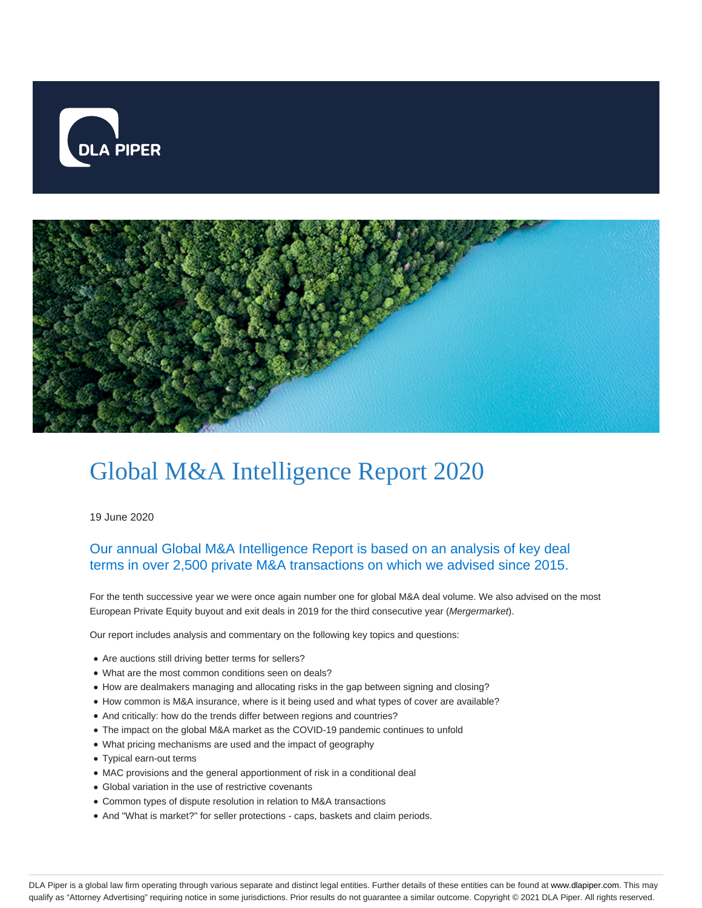



## Global M&A Intelligence Report 2020

19 June 2020

## Our annual Global M&A Intelligence Report is based on an analysis of key deal terms in over 2,500 private M&A transactions on which we advised since 2015.

For the tenth successive year we were once again number one for global M&A deal volume. We also advised on the most European Private Equity buyout and exit deals in 2019 for the third consecutive year (Mergermarket).

Our report includes analysis and commentary on the following key topics and questions:

- Are auctions still driving better terms for sellers?
- What are the most common conditions seen on deals?
- How are dealmakers managing and allocating risks in the gap between signing and closing?
- How common is M&A insurance, where is it being used and what types of cover are available?
- And critically: how do the trends differ between regions and countries?
- The impact on the global M&A market as the COVID-19 pandemic continues to unfold
- What pricing mechanisms are used and the impact of geography
- Typical earn-out terms
- MAC provisions and the general apportionment of risk in a conditional deal
- Global variation in the use of restrictive covenants
- Common types of dispute resolution in relation to M&A transactions
- And "What is market?" for seller protections caps, baskets and claim periods.